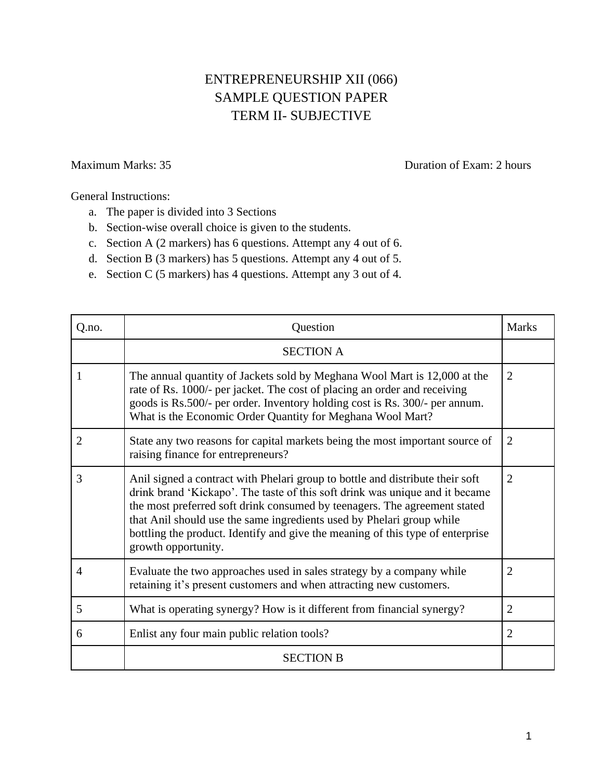## ENTREPRENEURSHIP XII (066) SAMPLE QUESTION PAPER TERM II- SUBJECTIVE

Maximum Marks: 35 Duration of Exam: 2 hours

General Instructions:

- a. The paper is divided into 3 Sections
- b. Section-wise overall choice is given to the students.
- c. Section A (2 markers) has 6 questions. Attempt any 4 out of 6.
- d. Section B (3 markers) has 5 questions. Attempt any 4 out of 5.
- e. Section C (5 markers) has 4 questions. Attempt any 3 out of 4.

| Q.no.          | Question                                                                                                                                                                                                                                                                                                                                                                                                                     | <b>Marks</b>   |
|----------------|------------------------------------------------------------------------------------------------------------------------------------------------------------------------------------------------------------------------------------------------------------------------------------------------------------------------------------------------------------------------------------------------------------------------------|----------------|
|                | <b>SECTION A</b>                                                                                                                                                                                                                                                                                                                                                                                                             |                |
| 1              | The annual quantity of Jackets sold by Meghana Wool Mart is 12,000 at the<br>rate of Rs. 1000/- per jacket. The cost of placing an order and receiving<br>goods is Rs.500/- per order. Inventory holding cost is Rs. 300/- per annum.<br>What is the Economic Order Quantity for Meghana Wool Mart?                                                                                                                          | $\overline{2}$ |
| $\overline{2}$ | State any two reasons for capital markets being the most important source of<br>raising finance for entrepreneurs?                                                                                                                                                                                                                                                                                                           | $\overline{2}$ |
| 3              | Anil signed a contract with Phelari group to bottle and distribute their soft<br>drink brand 'Kickapo'. The taste of this soft drink was unique and it became<br>the most preferred soft drink consumed by teenagers. The agreement stated<br>that Anil should use the same ingredients used by Phelari group while<br>bottling the product. Identify and give the meaning of this type of enterprise<br>growth opportunity. | $\overline{2}$ |
| $\overline{4}$ | Evaluate the two approaches used in sales strategy by a company while<br>retaining it's present customers and when attracting new customers.                                                                                                                                                                                                                                                                                 | $\overline{2}$ |
| 5              | What is operating synergy? How is it different from financial synergy?                                                                                                                                                                                                                                                                                                                                                       | $\overline{2}$ |
| 6              | Enlist any four main public relation tools?                                                                                                                                                                                                                                                                                                                                                                                  | 2              |
|                | <b>SECTION B</b>                                                                                                                                                                                                                                                                                                                                                                                                             |                |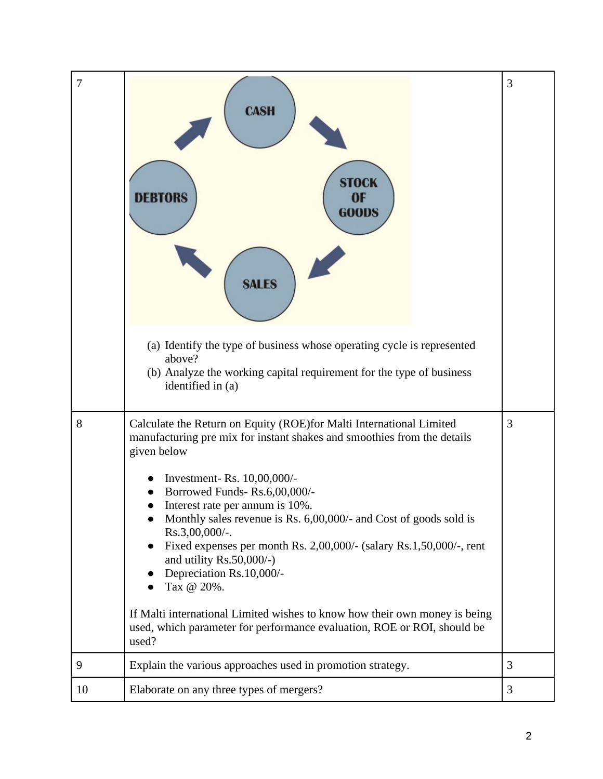| 7  | <b>CASH</b><br><b>STOCK</b><br>0F<br>DERTORS<br><b>GOODS</b><br><b>SALES</b>                                                                                                                                                                                                                                                                                                                                       | 3              |
|----|--------------------------------------------------------------------------------------------------------------------------------------------------------------------------------------------------------------------------------------------------------------------------------------------------------------------------------------------------------------------------------------------------------------------|----------------|
|    | (a) Identify the type of business whose operating cycle is represented<br>above?<br>(b) Analyze the working capital requirement for the type of business<br>identified in (a)                                                                                                                                                                                                                                      |                |
| 8  | Calculate the Return on Equity (ROE)for Malti International Limited<br>manufacturing pre mix for instant shakes and smoothies from the details<br>given below                                                                                                                                                                                                                                                      | $\overline{3}$ |
|    | Investment- Rs. 10,00,000/-<br>Borrowed Funds-Rs.6,00,000/-<br>Interest rate per annum is 10%.<br>Monthly sales revenue is Rs. $6,00,000/4$ and Cost of goods sold is<br>Rs.3,00,000/-.<br>Fixed expenses per month Rs. 2,00,000/- (salary Rs.1,50,000/-, rent<br>and utility Rs.50,000/-)<br>Depreciation Rs.10,000/-<br>Tax @ 20%.<br>If Malti international Limited wishes to know how their own money is being |                |
|    | used, which parameter for performance evaluation, ROE or ROI, should be<br>used?                                                                                                                                                                                                                                                                                                                                   |                |
| 9  | Explain the various approaches used in promotion strategy.                                                                                                                                                                                                                                                                                                                                                         | 3              |
| 10 | Elaborate on any three types of mergers?                                                                                                                                                                                                                                                                                                                                                                           | 3              |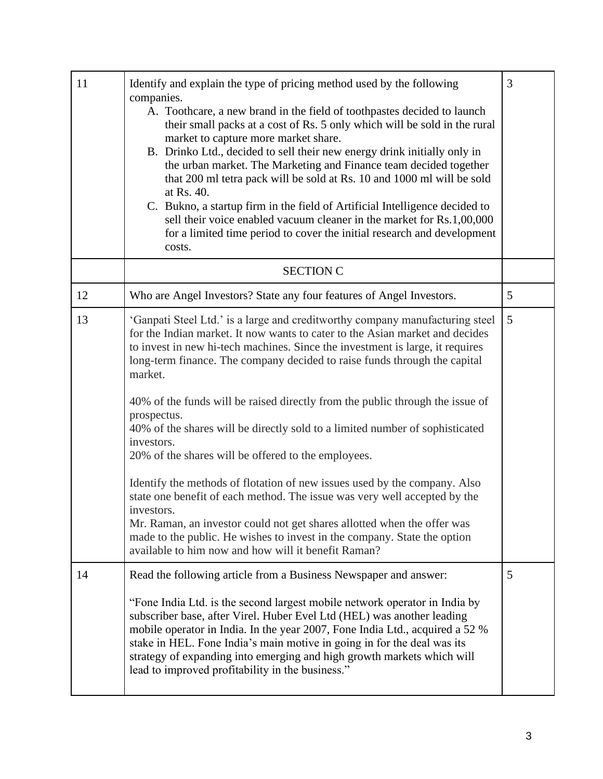| 11 | Identify and explain the type of pricing method used by the following<br>companies.<br>A. Toothcare, a new brand in the field of toothpastes decided to launch<br>their small packs at a cost of Rs. 5 only which will be sold in the rural<br>market to capture more market share.<br>B. Drinko Ltd., decided to sell their new energy drink initially only in<br>the urban market. The Marketing and Finance team decided together<br>that 200 ml tetra pack will be sold at Rs. 10 and 1000 ml will be sold<br>at Rs. 40.<br>C. Bukno, a startup firm in the field of Artificial Intelligence decided to<br>sell their voice enabled vacuum cleaner in the market for Rs.1,00,000<br>for a limited time period to cover the initial research and development<br>costs.                                                                                                                                                                                                        | 3 |
|----|----------------------------------------------------------------------------------------------------------------------------------------------------------------------------------------------------------------------------------------------------------------------------------------------------------------------------------------------------------------------------------------------------------------------------------------------------------------------------------------------------------------------------------------------------------------------------------------------------------------------------------------------------------------------------------------------------------------------------------------------------------------------------------------------------------------------------------------------------------------------------------------------------------------------------------------------------------------------------------|---|
|    | <b>SECTION C</b>                                                                                                                                                                                                                                                                                                                                                                                                                                                                                                                                                                                                                                                                                                                                                                                                                                                                                                                                                                 |   |
| 12 | Who are Angel Investors? State any four features of Angel Investors.                                                                                                                                                                                                                                                                                                                                                                                                                                                                                                                                                                                                                                                                                                                                                                                                                                                                                                             | 5 |
| 13 | 'Ganpati Steel Ltd.' is a large and creditworthy company manufacturing steel<br>for the Indian market. It now wants to cater to the Asian market and decides<br>to invest in new hi-tech machines. Since the investment is large, it requires<br>long-term finance. The company decided to raise funds through the capital<br>market.<br>40% of the funds will be raised directly from the public through the issue of<br>prospectus.<br>40% of the shares will be directly sold to a limited number of sophisticated<br>investors.<br>20% of the shares will be offered to the employees.<br>Identify the methods of flotation of new issues used by the company. Also<br>state one benefit of each method. The issue was very well accepted by the<br>investors.<br>Mr. Raman, an investor could not get shares allotted when the offer was<br>made to the public. He wishes to invest in the company. State the option<br>available to him now and how will it benefit Raman? | 5 |
| 14 | Read the following article from a Business Newspaper and answer:<br>"Fone India Ltd. is the second largest mobile network operator in India by<br>subscriber base, after Virel. Huber Evel Ltd (HEL) was another leading<br>mobile operator in India. In the year 2007, Fone India Ltd., acquired a 52 %<br>stake in HEL. Fone India's main motive in going in for the deal was its<br>strategy of expanding into emerging and high growth markets which will<br>lead to improved profitability in the business."                                                                                                                                                                                                                                                                                                                                                                                                                                                                | 5 |